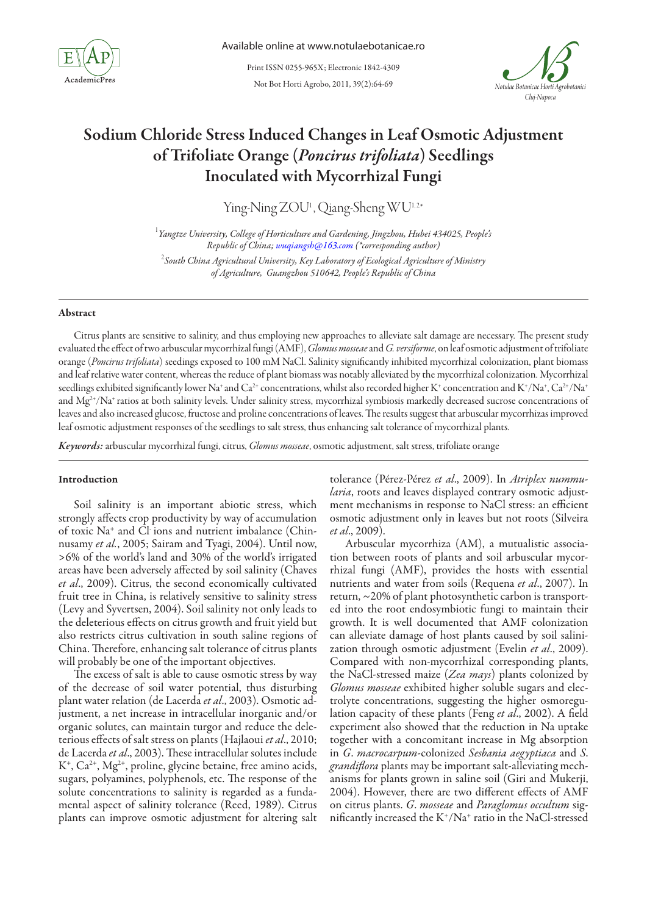

Not Bot Horti Agrobo, 2011, 39(2):64-69 Print ISSN 0255-965X; Electronic 1842-4309



# Sodium Chloride Stress Induced Changes in Leaf Osmotic Adjustment of Trifoliate Orange (*Poncirus trifoliata*) Seedlings Inoculated with Mycorrhizal Fungi

Ying-Ning ZOU<sup>1</sup>, Qiang-Sheng WU<sup>1,2\*</sup>

1 *Yangtze University, College of Horticulture and Gardening, Jingzhou, Hubei 434025, People's Republic of China; wuqiangsh@163.com (\*corresponding author)*

2 *South China Agricultural University, Key Laboratory of Ecological Agriculture of Ministry of Agriculture, Guangzhou 510642, People's Republic of China*

# Abstract

Citrus plants are sensitive to salinity, and thus employing new approaches to alleviate salt damage are necessary. The present study evaluated the effect of two arbuscular mycorrhizal fungi (AMF), *Glomus mosseae*and *G. versiforme*, on leaf osmotic adjustment of trifoliate orange (*Poncirus trifoliata*) seedings exposed to 100 mM NaCl. Salinity significantly inhibited mycorrhizal colonization, plant biomass and leaf relative water content, whereas the reduce of plant biomass was notably alleviated by the mycorrhizal colonization. Mycorrhizal seedlings exhibited significantly lower Na† and Ca<sup>2+</sup> concentrations, whilst also recorded higher K† concentration and K†/Na†, Ca<sup>2+</sup>/Na† and Mg<sup>2+</sup>/Na<sup>+</sup> ratios at both salinity levels. Under salinity stress, mycorrhizal symbiosis markedly decreased sucrose concentrations of leaves and also increased glucose, fructose and proline concentrations of leaves. The results suggest that arbuscular mycorrhizas improved leaf osmotic adjustment responses of the seedlings to salt stress, thus enhancing salt tolerance of mycorrhizal plants.

*Keywords:* arbuscular mycorrhizal fungi, citrus, *Glomus mosseae*, osmotic adjustment, salt stress, trifoliate orange

#### Introduction

Soil salinity is an important abiotic stress, which strongly affects crop productivity by way of accumulation of toxic Na+ and Cl- ions and nutrient imbalance (Chinnusamy *et al.*, 2005; Sairam and Tyagi, 2004). Until now, >6% of the world's land and 30% of the world's irrigated areas have been adversely affected by soil salinity (Chaves *et al*., 2009). Citrus, the second economically cultivated fruit tree in China, is relatively sensitive to salinity stress (Levy and Syvertsen, 2004). Soil salinity not only leads to the deleterious effects on citrus growth and fruit yield but also restricts citrus cultivation in south saline regions of China. Therefore, enhancing salt tolerance of citrus plants will probably be one of the important objectives.

The excess of salt is able to cause osmotic stress by way of the decrease of soil water potential, thus disturbing plant water relation (de Lacerda *et al*., 2003). Osmotic adjustment, a net increase in intracellular inorganic and/or organic solutes, can maintain turgor and reduce the deleterious effects of salt stress on plants (Hajlaoui *et al*., 2010; de Lacerda *et al*., 2003). These intracellular solutes include  $K^+$ ,  $Ca^{2+}$ ,  $Mg^{2+}$ , proline, glycine betaine, free amino acids, sugars, polyamines, polyphenols, etc. The response of the solute concentrations to salinity is regarded as a fundamental aspect of salinity tolerance (Reed, 1989). Citrus plants can improve osmotic adjustment for altering salt tolerance (Pérez-Pérez *et al*., 2009). In *Atriplex nummularia*, roots and leaves displayed contrary osmotic adjustment mechanisms in response to NaCl stress: an efficient osmotic adjustment only in leaves but not roots (Silveira *et al*., 2009).

Arbuscular mycorrhiza (AM), a mutualistic association between roots of plants and soil arbuscular mycorrhizal fungi (AMF), provides the hosts with essential nutrients and water from soils (Requena *et al*., 2007). In return, ~20% of plant photosynthetic carbon is transported into the root endosymbiotic fungi to maintain their growth. It is well documented that AMF colonization can alleviate damage of host plants caused by soil salinization through osmotic adjustment (Evelin *et al*., 2009). Compared with non-mycorrhizal corresponding plants, the NaCl-stressed maize (*Zea mays*) plants colonized by *Glomus mosseae* exhibited higher soluble sugars and electrolyte concentrations, suggesting the higher osmoregulation capacity of these plants (Feng *et al*., 2002). A field experiment also showed that the reduction in Na uptake together with a concomitant increase in Mg absorption in *G*. *macrocarpum*-colonized *Sesbania aegyptiaca* and *S*. *grandiflora* plants may be important salt-alleviating mechanisms for plants grown in saline soil (Giri and Mukerji, 2004). However, there are two different effects of AMF on citrus plants. *G*. *mosseae* and *Paraglomus occultum* significantly increased the K+/Na+ ratio in the NaCl-stressed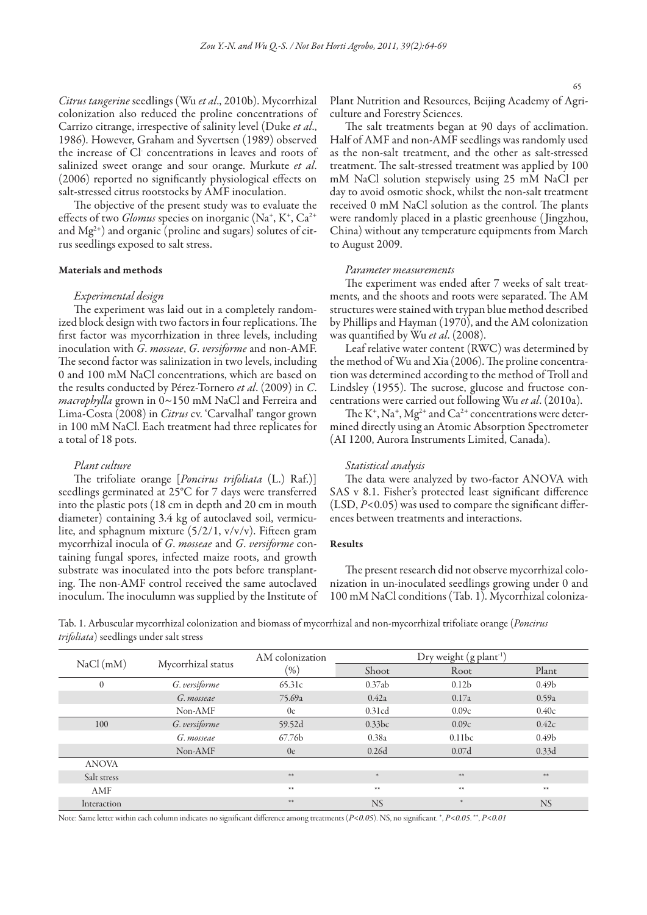*Citrus tangerine* seedlings (Wu *et al*., 2010b). Mycorrhizal colonization also reduced the proline concentrations of Carrizo citrange, irrespective of salinity level (Duke *et al*., 1986). However, Graham and Syvertsen (1989) observed the increase of Cl- concentrations in leaves and roots of salinized sweet orange and sour orange. Murkute *et al*. (2006) reported no significantly physiological effects on salt-stressed citrus rootstocks by AMF inoculation.

The objective of the present study was to evaluate the effects of two *Glomus* species on inorganic (Na<sup>+</sup>, K<sup>+</sup>, Ca<sup>2+</sup> and  $Mg^{2+}$ ) and organic (proline and sugars) solutes of citrus seedlings exposed to salt stress.

#### Materials and methods

# *Experimental design*

The experiment was laid out in a completely randomized block design with two factors in four replications. The first factor was mycorrhization in three levels, including inoculation with *G*. *mosseae*, *G*. *versiforme* and non-AMF. The second factor was salinization in two levels, including 0 and 100 mM NaCl concentrations, which are based on the results conducted by Pérez-Tornero *et al*. (2009) in *C*. *macrophylla* grown in 0~150 mM NaCl and Ferreira and Lima-Costa (2008) in *Citrus* cv. 'Carvalhal' tangor grown in 100 mM NaCl. Each treatment had three replicates for a total of 18 pots.

#### *Plant culture*

The trifoliate orange [*Poncirus trifoliata* (L.) Raf.)] seedlings germinated at 25°C for 7 days were transferred into the plastic pots (18 cm in depth and 20 cm in mouth diameter) containing 3.4 kg of autoclaved soil, vermiculite, and sphagnum mixture (5/2/1, v/v/v). Fifteen gram mycorrhizal inocula of *G*. *mosseae* and *G*. *versiforme* containing fungal spores, infected maize roots, and growth substrate was inoculated into the pots before transplanting. The non-AMF control received the same autoclaved inoculum. The inoculumn was supplied by the Institute of Plant Nutrition and Resources, Beijing Academy of Agriculture and Forestry Sciences.

The salt treatments began at 90 days of acclimation. Half of AMF and non-AMF seedlings was randomly used as the non-salt treatment, and the other as salt-stressed treatment. The salt-stressed treatment was applied by 100 mM NaCl solution stepwisely using 25 mM NaCl per day to avoid osmotic shock, whilst the non-salt treatment received 0 mM NaCl solution as the control. The plants were randomly placed in a plastic greenhouse ( Jingzhou, China) without any temperature equipments from March to August 2009.

#### *Parameter measurements*

The experiment was ended after 7 weeks of salt treatments, and the shoots and roots were separated. The AM structures were stained with trypan blue method described by Phillips and Hayman (1970), and the AM colonization was quantified by Wu *et al*. (2008).

Leaf relative water content (RWC) was determined by the method of Wu and Xia (2006). The proline concentration was determined according to the method of Troll and Lindsley (1955). The sucrose, glucose and fructose concentrations were carried out following Wu *et al*. (2010a).

The  $K^+$ ,  $Na^+$ ,  $Mg^{2+}$  and  $Ca^{2+}$  concentrations were determined directly using an Atomic Absorption Spectrometer (AI 1200, Aurora Instruments Limited, Canada).

#### *Statistical analysis*

The data were analyzed by two-factor ANOVA with SAS v 8.1. Fisher's protected least significant difference (LSD, *P*<0.05) was used to compare the significant differences between treatments and interactions.

# Results

The present research did not observe mycorrhizal colonization in un-inoculated seedlings growing under 0 and 100 mM NaCl conditions (Tab. 1). Mycorrhizal coloniza-

Tab. 1. Arbuscular mycorrhizal colonization and biomass of mycorrhizal and non-mycorrhizal trifoliate orange (*Poncirus trifoliata*) seedlings under salt stress

| NaCl(mM)     | Mycorrhizal status | AM colonization<br>$(\% )$ | Dry weight (g plant <sup>1</sup> ) |                   |                   |
|--------------|--------------------|----------------------------|------------------------------------|-------------------|-------------------|
|              |                    |                            | Shoot                              | Root              | Plant             |
| $\theta$     | G. versiforme      | 65.31c                     | 0.37ab                             | 0.12 <sub>b</sub> | 0.49 <sub>b</sub> |
|              | G. mosseae         | 75.69a                     | 0.42a                              | 0.17a             | 0.59a             |
|              | Non-AMF            | 0e                         | 0.31cd                             | 0.09c             | 0.40c             |
| 100          | G. versiforme      | 59.52d                     | 0.33bc                             | 0.09c             | 0.42c             |
|              | G. mosseae         | 67.76 <sub>b</sub>         | 0.38a                              | 0.11bc            | 0.49 <sub>b</sub> |
|              | Non-AMF            | 0e                         | 0.26d                              | 0.07d             | 0.33d             |
| <b>ANOVA</b> |                    |                            |                                    |                   |                   |
| Salt stress  |                    | **                         | $*$                                | $**$              | **                |
| AMF          |                    | $**$                       | $**$                               | $**$              | **                |
| Interaction  |                    | **                         | <b>NS</b>                          |                   | <b>NS</b>         |

Note: Same letter within each column indicates no significant difference among treatments (*P<0.05*). NS, no significant. \*, *P<0.05*. \*\*, *P<0.01*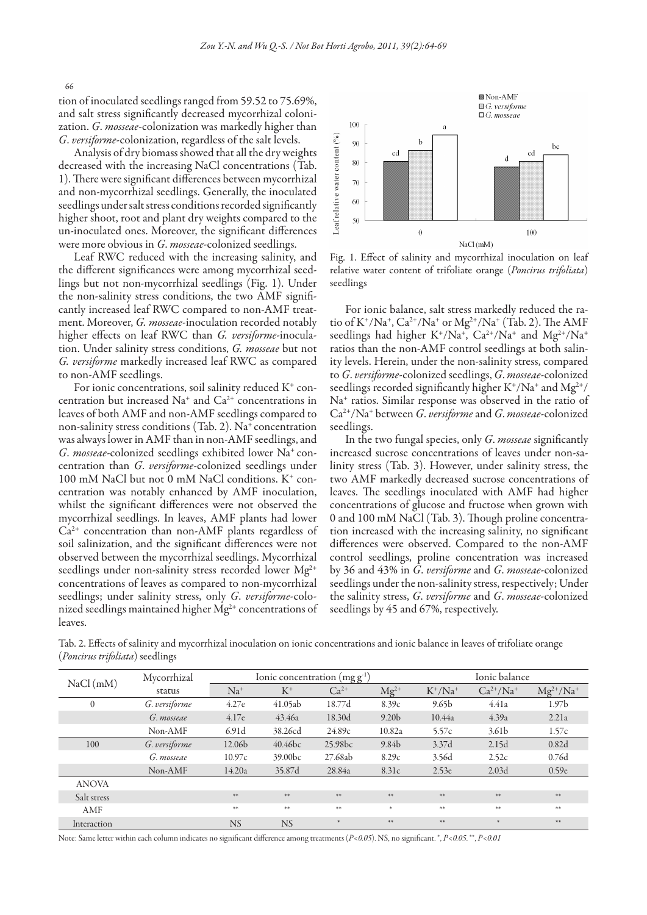tion of inoculated seedlings ranged from 59.52 to 75.69%, and salt stress significantly decreased mycorrhizal colonization. *G*. *mosseae*-colonization was markedly higher than *G*. *versiforme*-colonization, regardless of the salt levels.

Analysis of dry biomass showed that all the dry weights decreased with the increasing NaCl concentrations (Tab. 1). There were significant differences between mycorrhizal and non-mycorrhizal seedlings. Generally, the inoculated seedlings under salt stress conditions recorded significantly higher shoot, root and plant dry weights compared to the un-inoculated ones. Moreover, the significant differences were more obvious in *G*. *mosseae*-colonized seedlings.

Leaf RWC reduced with the increasing salinity, and the different significances were among mycorrhizal seedlings but not non-mycorrhizal seedlings (Fig. 1). Under the non-salinity stress conditions, the two AMF significantly increased leaf RWC compared to non-AMF treatment. Moreover, *G. mosseae*-inoculation recorded notably higher effects on leaf RWC than *G. versiforme*-inoculation. Under salinity stress conditions, *G. mosseae* but not *G. versiforme* markedly increased leaf RWC as compared to non-AMF seedlings.

For ionic concentrations, soil salinity reduced K<sup>+</sup> concentration but increased Na+ and Ca2+ concentrations in leaves of both AMF and non-AMF seedlings compared to non-salinity stress conditions (Tab. 2). Na<sup>+</sup> concentration was always lower in AMF than in non-AMF seedlings, and *G*. *mosseae*-colonized seedlings exhibited lower Na+ concentration than *G*. *versiforme*-colonized seedlings under 100 mM NaCl but not 0 mM NaCl conditions. K<sup>+</sup> concentration was notably enhanced by AMF inoculation, whilst the significant differences were not observed the mycorrhizal seedlings. In leaves, AMF plants had lower  $Ca<sup>2+</sup>$  concentration than non-AMF plants regardless of soil salinization, and the significant differences were not observed between the mycorrhizal seedlings. Mycorrhizal seedlings under non-salinity stress recorded lower Mg<sup>2+</sup> concentrations of leaves as compared to non-mycorrhizal seedlings; under salinity stress, only *G*. *versiforme*-colonized seedlings maintained higher  $Mg^{2+}$  concentrations of leaves.



Fig. 1. Effect of salinity and mycorrhizal inoculation on leaf relative water content of trifoliate orange (*Poncirus trifoliata*) seedlings

For ionic balance, salt stress markedly reduced the ratio of K<sup>+</sup>/Na<sup>+</sup>, Ca<sup>2+</sup>/Na<sup>+</sup> or Mg<sup>2+</sup>/Na<sup>+</sup> (Tab. 2). The AMF seedlings had higher K<sup>+</sup>/Na<sup>+</sup>, Ca<sup>2+</sup>/Na<sup>+</sup> and Mg<sup>2+</sup>/Na<sup>+</sup> ratios than the non-AMF control seedlings at both salinity levels. Herein, under the non-salinity stress, compared to *G*. *versiforme*-colonized seedlings, *G*. *mosseae*-colonized seedlings recorded significantly higher K+/Na+ and Mg<sup>2+</sup>/ Na+ ratios. Similar response was observed in the ratio of Ca2+/Na+ between *G*. *versiforme* and *G*. *mosseae*-colonized seedlings.

In the two fungal species, only *G*. *mosseae* significantly increased sucrose concentrations of leaves under non-salinity stress (Tab. 3). However, under salinity stress, the two AMF markedly decreased sucrose concentrations of leaves. The seedlings inoculated with AMF had higher concentrations of glucose and fructose when grown with 0 and 100 mM NaCl (Tab. 3). Though proline concentration increased with the increasing salinity, no significant differences were observed. Compared to the non-AMF control seedlings, proline concentration was increased by 36 and 43% in *G*. *versiforme* and *G*. *mosseae*-colonized seedlings under the non-salinity stress, respectively; Under the salinity stress, *G*. *versiforme* and *G*. *mosseae*-colonized seedlings by 45 and 67%, respectively.

Tab. 2. Effects of salinity and mycorrhizal inoculation on ionic concentrations and ionic balance in leaves of trifoliate orange (*Poncirus trifoliata*) seedlings

| NaCl(mM)     | Mycorrhizal   | Ionic concentration (mg g <sup>-1</sup> ) |                     |                     | Ionic balance     |                   |                   |                   |
|--------------|---------------|-------------------------------------------|---------------------|---------------------|-------------------|-------------------|-------------------|-------------------|
|              | status        | $Na+$                                     | $K^+$               | $Ca2+$              | $Mg^{2+}$         | $K^*/Na^+$        | $Ca^{2+}/Na^{+}$  | $Mg^{2+}/Na^{+}$  |
| $\theta$     | G. versiforme | 4.27e                                     | 41.05ab             | 18.77d              | 8.39c             | 9.65 <sub>b</sub> | 4.41a             | 1.97 <sub>b</sub> |
|              | G. mosseae    | 4.17e                                     | 43.46a              | 18.30d              | 9.20 <sub>b</sub> | 10.44a            | 4.39a             | 2.21a             |
|              | Non-AMF       | 6.91d                                     | 38.26cd             | 24.89c              | 10.82a            | 5.57c             | 3.61 <sub>b</sub> | 1.57c             |
| 100          | G. versiforme | 12.06b                                    | 40.46 <sub>bc</sub> | 25.98 <sub>bc</sub> | 9.84 <sub>b</sub> | 3.37d             | 2.15d             | 0.82d             |
|              | G. mosseae    | 10.97c                                    | 39.00 <sub>bc</sub> | 27.68ab             | 8.29c             | 3.56d             | 2.52c             | 0.76d             |
|              | Non-AMF       | 14.20a                                    | 35.87d              | 28.84a              | 8.31c             | 2.53e             | 2.03d             | 0.59e             |
| <b>ANOVA</b> |               |                                           |                     |                     |                   |                   |                   |                   |
| Salt stress  |               | $**$                                      | $**$                | **                  | $**$              | $**$              | $**$              | **                |
| AMF          |               | $**$                                      | $**$                | **                  | $*$               | $**$              | $**$              | **                |
| Interaction  |               | <b>NS</b>                                 | NS                  | $*$                 | **                | $**$              | $*$               | **                |

Note: Same letter within each column indicates no significant difference among treatments (*P<0.05*). NS, no significant. \*, *P<0.05*. \*\*, *P<0.01*

66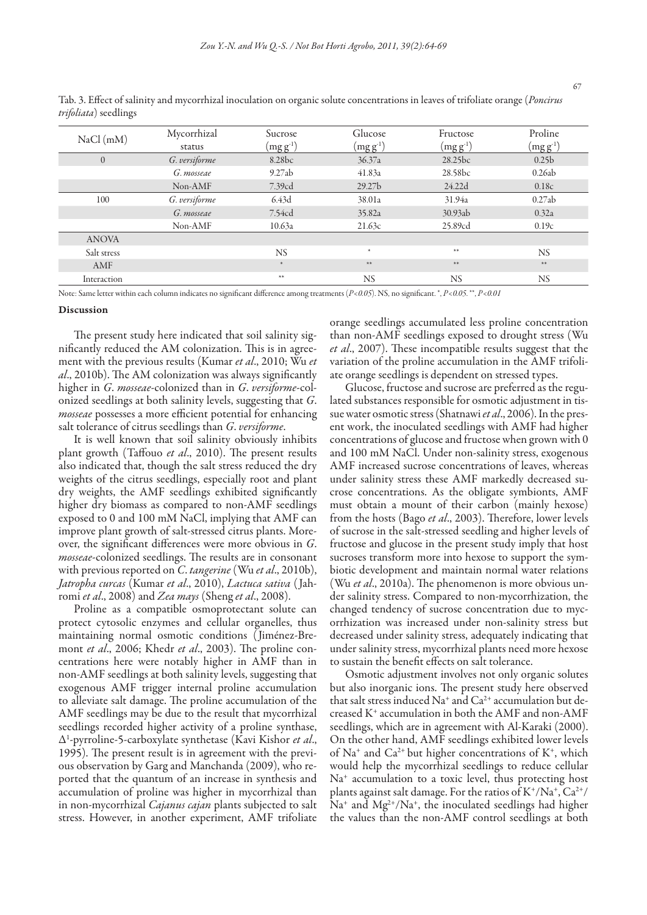| NaCl(mM)     | Mycorrhizal<br>status | Sucrose<br>$(mg g-1)$ | Glucose<br>$(\rm{mg}\,g^{\text{-}1})$ | Fructose<br>$(mg g-1)$ | Proline<br>$(\rm{mg}\,g^{\text{-}1})$ |
|--------------|-----------------------|-----------------------|---------------------------------------|------------------------|---------------------------------------|
| $\theta$     | G. versiforme         | 8.28 <sub>bc</sub>    | 36.37a                                | 28.25bc                | 0.25 <sub>b</sub>                     |
|              | G. mosseae            | 9.27ab                | 41.83a                                | 28.58 <sub>bc</sub>    | 0.26ab                                |
|              | Non-AMF               | 7.39cd                | 29.27 <sub>b</sub>                    | 24.22d                 | 0.18c                                 |
| 100          | G. versiforme         | 6.43d                 | 38.01a                                | 31.94a                 | 0.27ab                                |
|              | G. mosseae            | 7.54cd                | 35.82a                                | 30.93ab                | 0.32a                                 |
|              | Non-AMF               | 10.63a                | 21.63c                                | 25.89cd                | 0.19c                                 |
| <b>ANOVA</b> |                       |                       |                                       |                        |                                       |
| Salt stress  |                       | <b>NS</b>             | $*$                                   | $\ast\ast$             | NS.                                   |
| AMF          |                       | $\star$               | $**$                                  | $\ast\ast$             | $**$                                  |
| Interaction  |                       | $**$                  | <b>NS</b>                             | <b>NS</b>              | <b>NS</b>                             |

Tab. 3. Effect of salinity and mycorrhizal inoculation on organic solute concentrations in leaves of trifoliate orange (*Poncirus trifoliata*) seedlings

Note: Same letter within each column indicates no significant difference among treatments (*P<0.05*). NS, no significant. \*, *P<0.05*. \*\*, *P<0.01*

#### Discussion

The present study here indicated that soil salinity significantly reduced the AM colonization. This is in agreement with the previous results (Kumar *et al*., 2010; Wu *et al*., 2010b). The AM colonization was always significantly higher in *G*. *mosseae*-colonized than in *G*. *versiforme*-colonized seedlings at both salinity levels, suggesting that *G*. *mosseae* possesses a more efficient potential for enhancing salt tolerance of citrus seedlings than *G*. *versiforme*.

It is well known that soil salinity obviously inhibits plant growth (Taffouo *et al*., 2010). The present results also indicated that, though the salt stress reduced the dry weights of the citrus seedlings, especially root and plant dry weights, the AMF seedlings exhibited significantly higher dry biomass as compared to non-AMF seedlings exposed to 0 and 100 mM NaCl, implying that AMF can improve plant growth of salt-stressed citrus plants. Moreover, the significant differences were more obvious in *G*. *mosseae*-colonized seedlings. The results are in consonant with previous reported on *C*. *tangerine* (Wu *et al*., 2010b), *Jatropha curcas* (Kumar *et al*., 2010), *Lactuca sativa* ( Jahromi *et al*., 2008) and *Zea mays* (Sheng *et al*., 2008).

Proline as a compatible osmoprotectant solute can protect cytosolic enzymes and cellular organelles, thus maintaining normal osmotic conditions ( Jiménez-Bremont *et al*., 2006; Khedr *et al*., 2003). The proline concentrations here were notably higher in AMF than in non-AMF seedlings at both salinity levels, suggesting that exogenous AMF trigger internal proline accumulation to alleviate salt damage. The proline accumulation of the AMF seedlings may be due to the result that mycorrhizal seedlings recorded higher activity of a proline synthase, Δ1 -pyrroline-5-carboxylate synthetase (Kavi Kishor *et al*., 1995). The present result is in agreement with the previous observation by Garg and Manchanda (2009), who reported that the quantum of an increase in synthesis and accumulation of proline was higher in mycorrhizal than in non-mycorrhizal *Cajanus cajan* plants subjected to salt stress. However, in another experiment, AMF trifoliate

orange seedlings accumulated less proline concentration than non-AMF seedlings exposed to drought stress (Wu *et al*., 2007). These incompatible results suggest that the variation of the proline accumulation in the AMF trifoliate orange seedlings is dependent on stressed types.

Glucose, fructose and sucrose are preferred as the regulated substances responsible for osmotic adjustment in tissue water osmotic stress (Shatnawi *et al*., 2006). In the present work, the inoculated seedlings with AMF had higher concentrations of glucose and fructose when grown with 0 and 100 mM NaCl. Under non-salinity stress, exogenous AMF increased sucrose concentrations of leaves, whereas under salinity stress these AMF markedly decreased sucrose concentrations. As the obligate symbionts, AMF must obtain a mount of their carbon (mainly hexose) from the hosts (Bago *et al*., 2003). Therefore, lower levels of sucrose in the salt-stressed seedling and higher levels of fructose and glucose in the present study imply that host sucroses transform more into hexose to support the symbiotic development and maintain normal water relations (Wu *et al*., 2010a). The phenomenon is more obvious under salinity stress. Compared to non-mycorrhization, the changed tendency of sucrose concentration due to mycorrhization was increased under non-salinity stress but decreased under salinity stress, adequately indicating that under salinity stress, mycorrhizal plants need more hexose to sustain the benefit effects on salt tolerance.

Osmotic adjustment involves not only organic solutes but also inorganic ions. The present study here observed that salt stress induced Na<sup>+</sup> and  $Ca^{2+}$  accumulation but decreased K+ accumulation in both the AMF and non-AMF seedlings, which are in agreement with Al-Karaki (2000). On the other hand, AMF seedlings exhibited lower levels of Na<sup>+</sup> and Ca<sup>2+</sup> but higher concentrations of K<sup>+</sup>, which would help the mycorrhizal seedlings to reduce cellular Na<sup>+</sup> accumulation to a toxic level, thus protecting host plants against salt damage. For the ratios of  $K^*/Na^+$ ,  $Ca^{2+}/$  $Na<sup>+</sup>$  and  $Mg<sup>2+</sup>/Na<sup>+</sup>$ , the inoculated seedlings had higher the values than the non-AMF control seedlings at both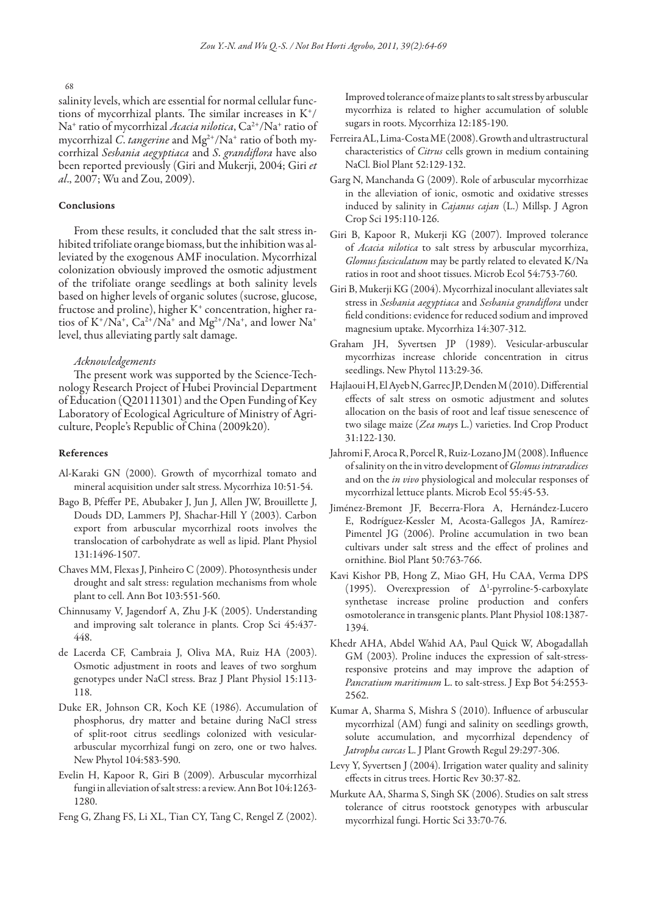68

salinity levels, which are essential for normal cellular functions of mycorrhizal plants. The similar increases in  $K^+/$ Na<sup>+</sup> ratio of mycorrhizal *Acacia nilotica*, Ca<sup>2+</sup>/Na<sup>+</sup> ratio of mycorrhizal *C*. *tangerine* and Mg2+/Na+ ratio of both mycorrhizal *Sesbania aegyptiaca* and *S*. *grandiflora* have also been reported previously (Giri and Mukerji, 2004; Giri *et al*., 2007; Wu and Zou, 2009).

# Conclusions

From these results, it concluded that the salt stress inhibited trifoliate orange biomass, but the inhibition was alleviated by the exogenous AMF inoculation. Mycorrhizal colonization obviously improved the osmotic adjustment of the trifoliate orange seedlings at both salinity levels based on higher levels of organic solutes (sucrose, glucose, fructose and proline), higher K<sup>+</sup> concentration, higher ratios of  $K^{\dagger}/Na^{\dagger}$ ,  $Ca^{2\dagger}/Na^{\dagger}$  and  $Mg^{2\dagger}/Na^{\dagger}$ , and lower  $Na^{\dagger}$ level, thus alleviating partly salt damage.

# *Acknowledgements*

The present work was supported by the Science-Technology Research Project of Hubei Provincial Department of Education (Q20111301) and the Open Funding of Key Laboratory of Ecological Agriculture of Ministry of Agriculture, People's Republic of China (2009k20).

#### References

- Al-Karaki GN (2000). Growth of mycorrhizal tomato and mineral acquisition under salt stress. Mycorrhiza 10:51-54.
- Bago B, Pfeffer PE, Abubaker J, Jun J, Allen JW, Brouillette J, Douds DD, Lammers PJ, Shachar-Hill Y (2003). Carbon export from arbuscular mycorrhizal roots involves the translocation of carbohydrate as well as lipid. Plant Physiol 131:1496-1507.
- Chaves MM, Flexas J, Pinheiro C (2009). Photosynthesis under drought and salt stress: regulation mechanisms from whole plant to cell. Ann Bot 103:551-560.
- Chinnusamy V, Jagendorf A, Zhu J-K (2005). Understanding and improving salt tolerance in plants. Crop Sci 45:437- 448.
- de Lacerda CF, Cambraia J, Oliva MA, Ruiz HA (2003). Osmotic adjustment in roots and leaves of two sorghum genotypes under NaCl stress. Braz J Plant Physiol 15:113- 118.
- Duke ER, Johnson CR, Koch KE (1986). Accumulation of phosphorus, dry matter and betaine during NaCl stress of split-root citrus seedlings colonized with vesiculararbuscular mycorrhizal fungi on zero, one or two halves. New Phytol 104:583-590.
- Evelin H, Kapoor R, Giri B (2009). Arbuscular mycorrhizal fungi in alleviation of salt stress: a review. Ann Bot 104:1263- 1280.

Feng G, Zhang FS, Li XL, Tian CY, Tang C, Rengel Z (2002).

Improved tolerance of maize plants to salt stress by arbuscular mycorrhiza is related to higher accumulation of soluble sugars in roots. Mycorrhiza 12:185-190.

- Ferreira AL, Lima-Costa ME (2008). Growth and ultrastructural characteristics of *Citrus* cells grown in medium containing NaCl. Biol Plant 52:129-132.
- Garg N, Manchanda G (2009). Role of arbuscular mycorrhizae in the alleviation of ionic, osmotic and oxidative stresses induced by salinity in *Cajanus cajan* (L.) Millsp. J Agron Crop Sci 195:110-126.
- Giri B, Kapoor R, Mukerji KG (2007). Improved tolerance of *Acacia nilotica* to salt stress by arbuscular mycorrhiza, *Glomus fasciculatum* may be partly related to elevated K/Na ratios in root and shoot tissues. Microb Ecol 54:753-760.
- Giri B, Mukerji KG (2004). Mycorrhizal inoculant alleviates salt stress in *Sesbania aegyptiaca* and *Sesbania grandiflora* under field conditions: evidence for reduced sodium and improved magnesium uptake. Mycorrhiza 14:307-312.
- Graham JH, Syvertsen JP (1989). Vesicular-arbuscular mycorrhizas increase chloride concentration in citrus seedlings. New Phytol 113:29-36.
- Hajlaoui H, El Ayeb N, Garrec JP, Denden M (2010). Differential effects of salt stress on osmotic adjustment and solutes allocation on the basis of root and leaf tissue senescence of two silage maize (*Zea may*s L.) varieties. Ind Crop Product 31:122-130.
- Jahromi F, Aroca R, Porcel R, Ruiz-Lozano JM (2008). Influence of salinity on the in vitro development of *Glomus intraradices* and on the *in vivo* physiological and molecular responses of mycorrhizal lettuce plants. Microb Ecol 55:45-53.
- Jiménez-Bremont JF, Becerra-Flora A, Hernández-Lucero E, Rodríguez-Kessler M, Acosta-Gallegos JA, Ramírez-Pimentel JG (2006). Proline accumulation in two bean cultivars under salt stress and the effect of prolines and ornithine. Biol Plant 50:763-766.
- Kavi Kishor PB, Hong Z, Miao GH, Hu CAA, Verma DPS (1995). Overexpression of Δ1 -pyrroline-5-carboxylate synthetase increase proline production and confers osmotolerance in transgenic plants. Plant Physiol 108:1387- 1394.
- Khedr AHA, Abdel Wahid AA, Paul Quick W, Abogadallah GM (2003). Proline induces the expression of salt-stressresponsive proteins and may improve the adaption of *Pancratium maritimum* L. to salt-stress. J Exp Bot 54:2553- 2562.
- Kumar A, Sharma S, Mishra S (2010). Influence of arbuscular mycorrhizal (AM) fungi and salinity on seedlings growth, solute accumulation, and mycorrhizal dependency of *Jatropha curcas* L. J Plant Growth Regul 29:297-306.
- Levy Y, Syvertsen J (2004). Irrigation water quality and salinity effects in citrus trees. Hortic Rev 30:37-82.
- Murkute AA, Sharma S, Singh SK (2006). Studies on salt stress tolerance of citrus rootstock genotypes with arbuscular mycorrhizal fungi. Hortic Sci 33:70-76.